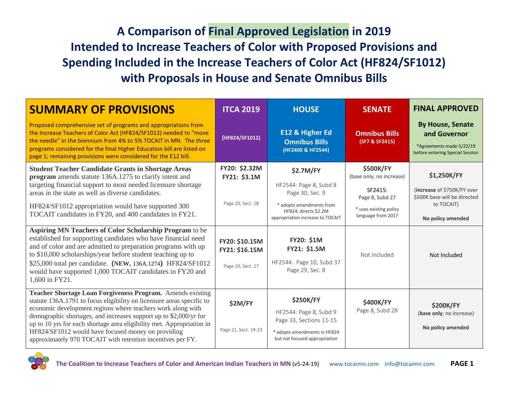## **A Comparison of Final Approved Legislation in 2019 Intended to Increase Teachers of Color with Proposed Provisions and Spending Included in the Increase Teachers of Color Act (HF824/SF1012) with Proposals in House and Senate Omnibus Bills**

| <b>SUMMARY OF PROVISIONS</b>                                                                                                                                                                                                                                                                                                                                                                                                                                         | <b>ITCA 2019</b>                                      | <b>HOUSE</b>                                                                                                                           | <b>SENATE</b>                                                                                        | <b>FINAL APPROVED</b>                                                                                  |
|----------------------------------------------------------------------------------------------------------------------------------------------------------------------------------------------------------------------------------------------------------------------------------------------------------------------------------------------------------------------------------------------------------------------------------------------------------------------|-------------------------------------------------------|----------------------------------------------------------------------------------------------------------------------------------------|------------------------------------------------------------------------------------------------------|--------------------------------------------------------------------------------------------------------|
| Proposed comprehensive set of programs and appropriations from<br>the Increase Teachers of Color Act (HF824/SF1012) needed to "move<br>the needle" in the biennium from 4% to 5% TOCAIT in MN. The three<br>programs considered for the final Higher Education bill are listed on<br>page 1; remaining provisions were considered for the E12 bill.                                                                                                                  | (HF824/SF1012)                                        | E12 & Higher Ed<br><b>Omnibus Bills</b><br>(HF2400 & HF2544)                                                                           | <b>Omnibus Bills</b><br>(SF7 & SF2415)                                                               | <b>By House, Senate</b><br>and Governor<br>*Agreements made 5/22/19<br>before entering Special Session |
| <b>Student Teacher Candidate Grants in Shortage Areas</b><br>program amends statute 136A.1275 to clarify intent and<br>targeting financial support to most needed licensure shortage<br>areas in the state as well as diverse candidates.<br>HF824/SF1012 appropriation would have supported 300                                                                                                                                                                     | FY20: \$2.32M<br>FY21: \$3.1M<br>Page 20, Sect. 18    | \$2.7M/FY<br>HF2544: Page 8, Subd 8<br>Page 30, Sec. 9<br>* adopts amendments from                                                     | <b>\$500K/FY</b><br>(base only; no increase)<br>SF2415:<br>Page 8, Subd 27<br>* uses existing policy | \$1,250K/FY<br>(increase of \$750K/FY over<br>\$500K base will be directed<br>to TOCAIT)               |
| TOCAIT candidates in FY20, and 400 candidates in FY21.                                                                                                                                                                                                                                                                                                                                                                                                               |                                                       | HF824; directs \$2.2M<br>appropriation increase to TOCAIT                                                                              | language from 2017                                                                                   | No policy amended                                                                                      |
| Aspiring MN Teachers of Color Scholarship Program to be<br>established for supporting candidates who have financial need<br>and of color and are admitted to preparation programs with up<br>to \$10,000 scholarships/year before student teaching up to<br>\$25,000 total per candidate. (NEW, 136A.1274) HF824/SF1012<br>would have supported 1,000 TOCAIT candidates in FY20 and<br>1,600 in FY21.                                                                | FY20: \$10.15M<br>FY21: \$16.15M<br>Page 19, Sect. 17 | <b>FY20: \$1M</b><br>FY21: \$1.5M<br>HF2544: Page 10, Subd 37<br>Page 29, Sec. 8                                                       | Not Included                                                                                         | Not Included                                                                                           |
| Teacher Shortage Loan Forgiveness Program. Amends existing<br>statute 136A.1791 to focus eligibility on licensure areas specific to<br>economic development regions where teachers work along with<br>demographic shortages, and increases support up to \$2,000/yr for<br>up to 10 yrs for each shortage area eligibility met. Appropriation in<br>HF824/SF1012 would have focused money on providing<br>approximately 970 TOCAIT with retention incentives per FY. | <b>\$2M/FY</b><br>Page 21, Sect. 19-23                | <b>\$250K/FY</b><br>HF2544: Page 8, Subd 9<br>Page 33, Sections 11-15<br>* adopts amendments in HF824<br>but not focused appropriation | \$400K/FY<br>Page 8, Subd 28                                                                         | <b>\$200K/FY</b><br>(base only; no increase)<br>No policy amended                                      |

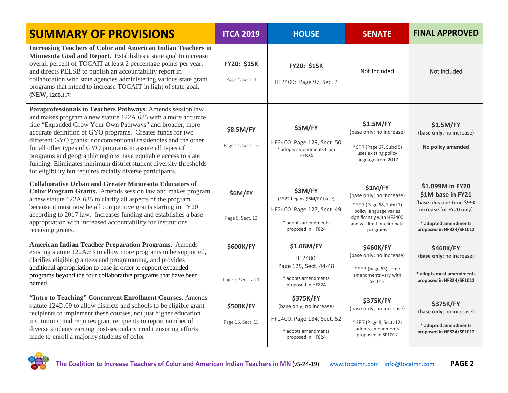| <b>SUMMARY OF PROVISIONS</b>                                                                                                                                                                                                                                                                                                                                                                                                                                                                                                                                                                  | <b>ITCA 2019</b><br><b>HOUSE</b>       |                                                                                                                        | <b>SENATE</b>                                                                                                                                                     | <b>FINAL APPROVED</b>                                                                                                                             |  |
|-----------------------------------------------------------------------------------------------------------------------------------------------------------------------------------------------------------------------------------------------------------------------------------------------------------------------------------------------------------------------------------------------------------------------------------------------------------------------------------------------------------------------------------------------------------------------------------------------|----------------------------------------|------------------------------------------------------------------------------------------------------------------------|-------------------------------------------------------------------------------------------------------------------------------------------------------------------|---------------------------------------------------------------------------------------------------------------------------------------------------|--|
| <b>Increasing Teachers of Color and American Indian Teachers in</b><br>Minnesota Goal and Report. Establishes a state goal to increase<br>overall percent of TOCAIT at least 2 percentage points per year,<br>and directs PELSB to publish an accountability report in<br>collaboration with state agencies administering various state grant<br>programs that intend to increase TOCAIT in light of state goal.<br>(NEW, 120B.117)                                                                                                                                                           | FY20: \$15K<br>Page 4, Sect. 4         | FY20: \$15K<br>HF2400: Page 97, Sec. 2                                                                                 | Not Included                                                                                                                                                      | Not Included                                                                                                                                      |  |
| Paraprofessionals to Teachers Pathways. Amends session law<br>and makes program a new statute 122A.685 with a more accurate<br>title "Expanded Grow Your Own Pathways" and broader, more<br>accurate definition of GYO programs. Creates funds for two<br>different GYO grants: nonconventional residencies and the other<br>for all other types of GYO programs to assure all types of<br>programs and geographic regions have equitable access to state<br>funding. Eliminates minimum district student diversity thresholds<br>for eligibility but requires racially diverse participants. | \$8.5M/FY<br>Page 11, Sect. 13         | \$5M/FY<br>HF2400: Page 129, Sect. 50<br>* adopts amendments from<br><b>HF824</b>                                      | \$1.5M/FY<br>(base only; no increase)<br>* SF 7 (Page 67, Subd 5)<br>uses existing policy<br>language from 2017                                                   | \$1.5M/FY<br>(base only; no increase)<br>No policy amended                                                                                        |  |
| <b>Collaborative Urban and Greater Minnesota Educators of</b><br>Color Program Grants. Amends session law and makes program<br>a new statute 122A.635 to clarify all aspects of the program<br>because it must now be all competitive grants starting in FY20<br>according to 2017 law. Increases funding and establishes a base<br>appropriation with increased accountability for institutions<br>receiving grants.                                                                                                                                                                         | \$6M/FY<br>Page 9, Sect. 12            | \$3M/FY<br>(FY22 begins \$6M/FY base)<br>HF2400: Page 127, Sect. 49<br>* adopts amendments<br>proposed in HF824        | \$1M/FY<br>(base only; no increase)<br>* SF 7 (Page 68, Subd 7)<br>policy language varies<br>significantly with HF2400<br>and will limit or eliminate<br>programs | \$1.099M in FY20<br>\$1M base in FY21<br>(base plus one-time \$99K<br>increase for FY20 only)<br>* adopted amendments<br>proposed in HF824/SF1012 |  |
| <b>American Indian Teacher Preparation Programs.</b> Amends<br>existing statute 122A.63 to allow more programs to be supported,<br>clarifies eligible grantees and programming, and provides<br>additional appropriation to base in order to support expanded<br>programs beyond the four collaborative programs that have been<br>named.                                                                                                                                                                                                                                                     | <b>\$600K/FY</b><br>Page 7, Sect. 7-11 | \$1.06M/FY<br>HF2400:<br>Page 125, Sect. 44-48<br>* adopts amendments<br>proposed in HF824                             | <b>\$460K/FY</b><br>(base only; no increase)<br>* SF 7 (page 63) some<br>amendments vary with<br>SF1012                                                           | <b>\$460K/FY</b><br>(base only; no increase)<br>* adopts most amendments<br>proposed in HF824/SF1012                                              |  |
| "Intro to Teaching" Concurrent Enrollment Courses. Amends<br>statute 124D.09 to allow districts and schools to be eligible grant<br>recipients to implement these courses, not just higher education<br>institutions, and requires grant recipients to report number of<br>diverse students earning post-secondary credit ensuring efforts<br>made to enroll a majority students of color.                                                                                                                                                                                                    | <b>\$500K/FY</b><br>Page 16, Sect. 15  | <b>\$375K/FY</b><br>(base only; no increase)<br>HF2400: Page 134, Sect. 52<br>* adopts amendments<br>proposed in HF824 | <b>\$375K/FY</b><br>(base only; no increase)<br>* SF 7 (Page 8, Sect. 12)<br>adopts amendments<br>proposed in SF1012                                              | <b>\$375K/FY</b><br>(base only; no increase)<br>* adopted amendments<br>proposed in HF824/SF1012                                                  |  |

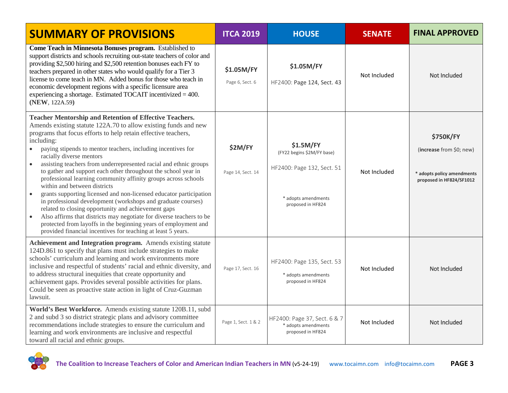| <b>SUMMARY OF PROVISIONS</b>                                                                                                                                                                                                                                                                                                                                                                                                                                                                                                                                                                                                                                                                                                                                                                                                                                                                                                                                                                                       | <b>ITCA 2019</b>              | <b>HOUSE</b>                                                                                                      | <b>SENATE</b> | <b>FINAL APPROVED</b>                                                                                  |
|--------------------------------------------------------------------------------------------------------------------------------------------------------------------------------------------------------------------------------------------------------------------------------------------------------------------------------------------------------------------------------------------------------------------------------------------------------------------------------------------------------------------------------------------------------------------------------------------------------------------------------------------------------------------------------------------------------------------------------------------------------------------------------------------------------------------------------------------------------------------------------------------------------------------------------------------------------------------------------------------------------------------|-------------------------------|-------------------------------------------------------------------------------------------------------------------|---------------|--------------------------------------------------------------------------------------------------------|
| Come Teach in Minnesota Bonuses program. Established to<br>support districts and schools recruiting out-state teachers of color and<br>providing \$2,500 hiring and \$2,500 retention bonuses each FY to<br>teachers prepared in other states who would qualify for a Tier 3<br>license to come teach in MN. Added bonus for those who teach in<br>economic development regions with a specific licensure area<br>experiencing a shortage. Estimated TOCAIT incentivized $=$ 400.<br>(NEW, 122A.59)                                                                                                                                                                                                                                                                                                                                                                                                                                                                                                                | \$1.05M/FY<br>Page 6, Sect. 6 | \$1.05M/FY<br>HF2400: Page 124, Sect. 43                                                                          | Not Included  | Not Included                                                                                           |
| <b>Teacher Mentorship and Retention of Effective Teachers.</b><br>Amends existing statute 122A.70 to allow existing funds and new<br>programs that focus efforts to help retain effective teachers,<br>including:<br>paying stipends to mentor teachers, including incentives for<br>$\bullet$<br>racially diverse mentors<br>assisting teachers from underrepresented racial and ethnic groups<br>$\bullet$<br>to gather and support each other throughout the school year in<br>professional learning community affinity groups across schools<br>within and between districts<br>grants supporting licensed and non-licensed educator participation<br>$\bullet$<br>in professional development (workshops and graduate courses)<br>related to closing opportunity and achievement gaps<br>Also affirms that districts may negotiate for diverse teachers to be<br>$\bullet$<br>protected from layoffs in the beginning years of employment and<br>provided financial incentives for teaching at least 5 years. | \$2M/FY<br>Page 14, Sect. 14  | \$1.5M/FY<br>(FY22 begins \$2M/FY base)<br>HF2400: Page 132, Sect. 51<br>* adopts amendments<br>proposed in HF824 | Not Included  | <b>\$750K/FY</b><br>(increase from \$0; new)<br>* adopts policy amendments<br>proposed in HF824/SF1012 |
| Achievement and Integration program. Amends existing statute<br>124D.861 to specify that plans must include strategies to make<br>schools' curriculum and learning and work environments more<br>inclusive and respectful of students' racial and ethnic diversity, and<br>to address structural inequities that create opportunity and<br>achievement gaps. Provides several possible activities for plans.<br>Could be seen as proactive state action in light of Cruz-Guzman<br>lawsuit.                                                                                                                                                                                                                                                                                                                                                                                                                                                                                                                        | Page 17, Sect. 16             | HF2400: Page 135, Sect. 53<br>* adopts amendments<br>proposed in HF824                                            | Not Included  | Not Included                                                                                           |
| World's Best Workforce. Amends existing statute 120B.11, subd<br>2 and subd 3 so district strategic plans and advisory committee<br>recommendations include strategies to ensure the curriculum and<br>learning and work environments are inclusive and respectful<br>toward all racial and ethnic groups.                                                                                                                                                                                                                                                                                                                                                                                                                                                                                                                                                                                                                                                                                                         | Page 1, Sect. 1 & 2           | HF2400: Page 37, Sect. 6 & 7<br>* adopts amendments<br>proposed in HF824                                          | Not Included  | Not Included                                                                                           |